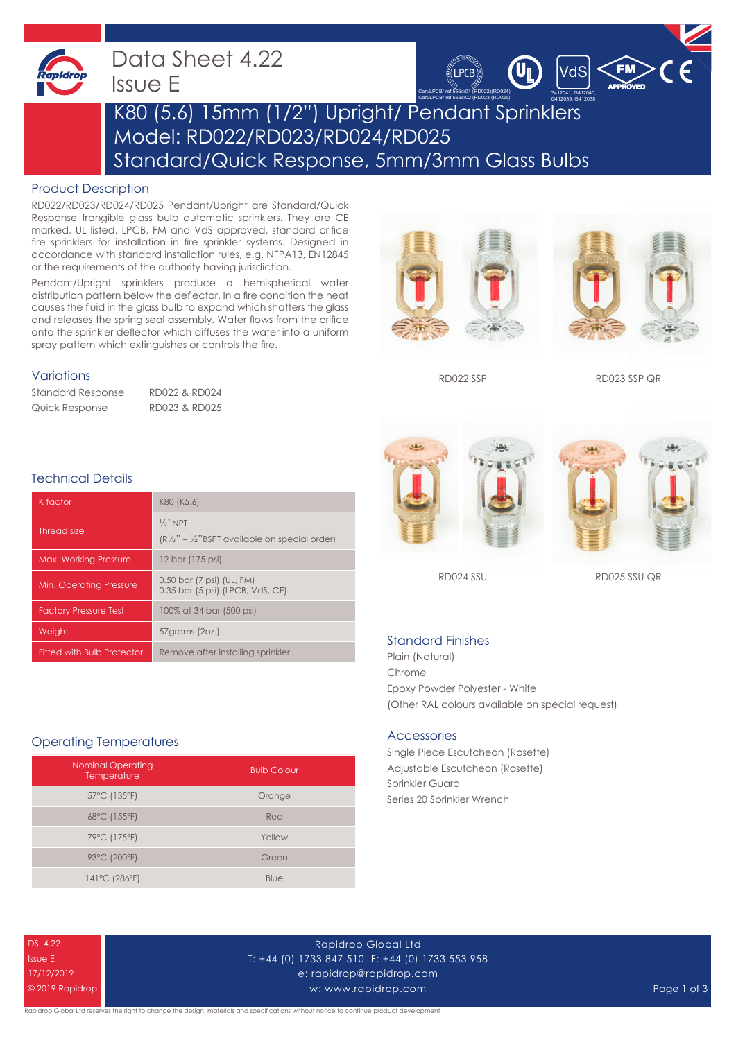

Data Sheet 4.22 Issue E



# K80 (5.6) 15mm (1/2") Upright/ Pendant Sprinklers Model: RD022/RD023/RD024/RD025 Standard/Quick Response, 5mm/3mm Glass Bulbs

#### Product Description

RD022/RD023/RD024/RD025 Pendant/Upright are Standard/Quick Response frangible glass bulb automatic sprinklers. They are CE marked, UL listed, LPCB, FM and VdS approved, standard orifice fire sprinklers for installation in fire sprinkler systems. Designed in accordance with standard installation rules, e.g. NFPA13, EN12845 or the requirements of the authority having jurisdiction.

Pendant/Upright sprinklers produce a hemispherical water distribution pattern below the deflector. In a fire condition the heat causes the fluid in the glass bulb to expand which shatters the glass and releases the spring seal assembly. Water flows from the orifice onto the sprinkler deflector which diffuses the water into a uniform spray pattern which extinguishes or controls the fire.

#### Variations

Standard Response RD022 & RD024 Quick Response RD023 & RD025



RD022 SSP RD023 SSP QR

### Technical Details

| K factor                          | K80 (K5.6)                                                                                |
|-----------------------------------|-------------------------------------------------------------------------------------------|
| Thread size                       | $\frac{1}{2}$ "NPT<br>$(R\frac{1}{2}$ " – $\frac{1}{2}$ "BSPT available on special order) |
| <b>Max. Working Pressure</b>      | 12 bar (175 psi)                                                                          |
| Min. Operating Pressure           | 0.50 bar (7 psi) (UL, FM)<br>0.35 bar (5 psi) (LPCB, VdS, CE)                             |
| <b>Factory Pressure Test</b>      | 100% at 34 bar (500 psi)                                                                  |
| Weight                            | 57 grams (20z.)                                                                           |
| <b>Fitted with Bulb Protector</b> | Remove after installing sprinkler                                                         |

#### Operating Temperatures

| <b>Nominal Operating</b><br>Temperature | <b>Bulb Colour</b> |
|-----------------------------------------|--------------------|
| 57°C (135°F)                            | Orange             |
| 68°C (155°F)                            | Red                |
| 79°C (175°F)                            | Yellow             |
| 93°C (200°F)                            | Green              |
| 141°C (286°F)                           | Blue               |





RD024 SSU RD025 SSU QR

#### Standard Finishes

Plain (Natural) Chrome Epoxy Powder Polyester - White (Other RAL colours available on special request)

#### Accessories

Single Piece Escutcheon (Rosette) Adjustable Escutcheon (Rosette) Sprinkler Guard Series 20 Sprinkler Wrench

DS: 4.22 Issue E 17/12/2019 © 2019 Rapidrop

Rapidrop Global Ltd T: +44 (0) 1733 847 510 F: +44 (0) 1733 553 958 e: rapidrop@rapidrop.com w: www.rapidrop.com Page 1 of 3

apidrop Global Ltd reserves the right to change the design, materials and specifications without notice to continue product development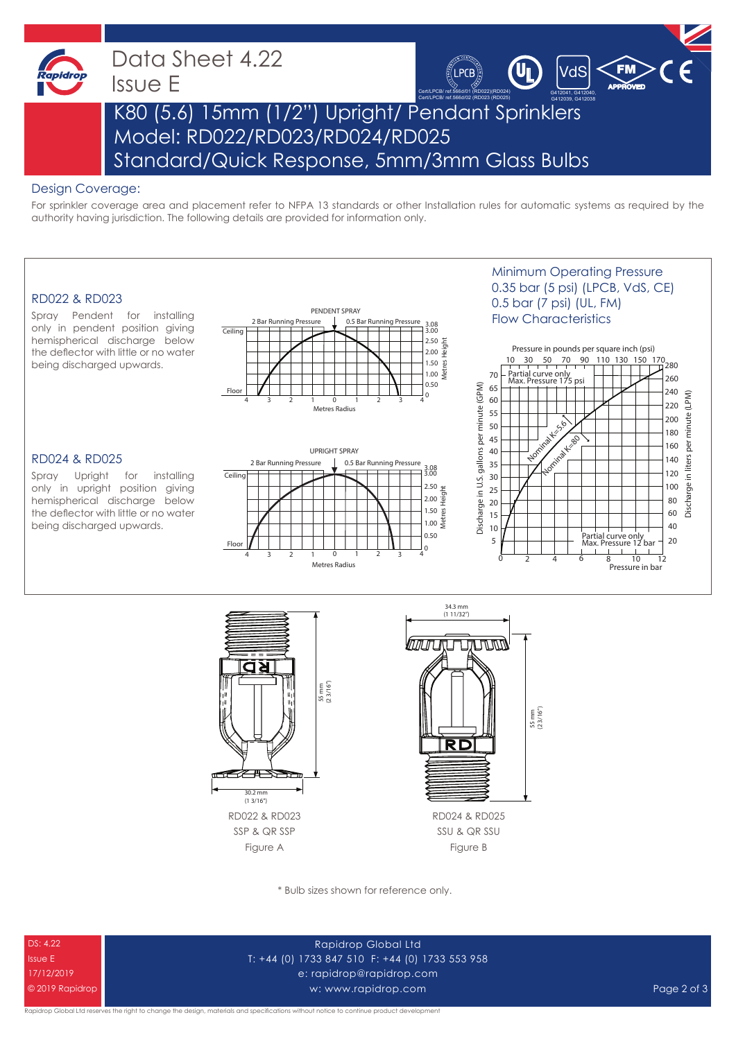

### Data Sheet 4.22 Issue E



## K80 (5.6) 15mm (1/2") Upright/ Pendant Sprinklers Model: RD022/RD023/RD024/RD025 Standard/Quick Response, 5mm/3mm Glass Bulbs

#### Design Coverage:

For sprinkler coverage area and placement refer to NFPA 13 standards or other Installation rules for automatic systems as required by the authority having jurisdiction. The following details are provided for information only.

#### RD022 & RD023

Spray Pendent for installing only in pendent position giving hemispherical discharge below the deflector with little or no water being discharged upwards.



#### RD024 & RD025

Spray Upright for installing only in upright position giving hemispherical discharge below the deflector with little or no water being discharged upwards.



### Minimum Operating Pressure 0.35 bar (5 psi) (LPCB, VdS, CE) 0.5 bar (7 psi) (UL, FM) Flow Characteristics







SSU & QR SSU Figure B

\* Bulb sizes shown for reference only.



Rapidrop Global Ltd T: +44 (0) 1733 847 510 F: +44 (0) 1733 553 958 e: rapidrop@rapidrop.com w: www.rapidrop.com Page 2 of 3